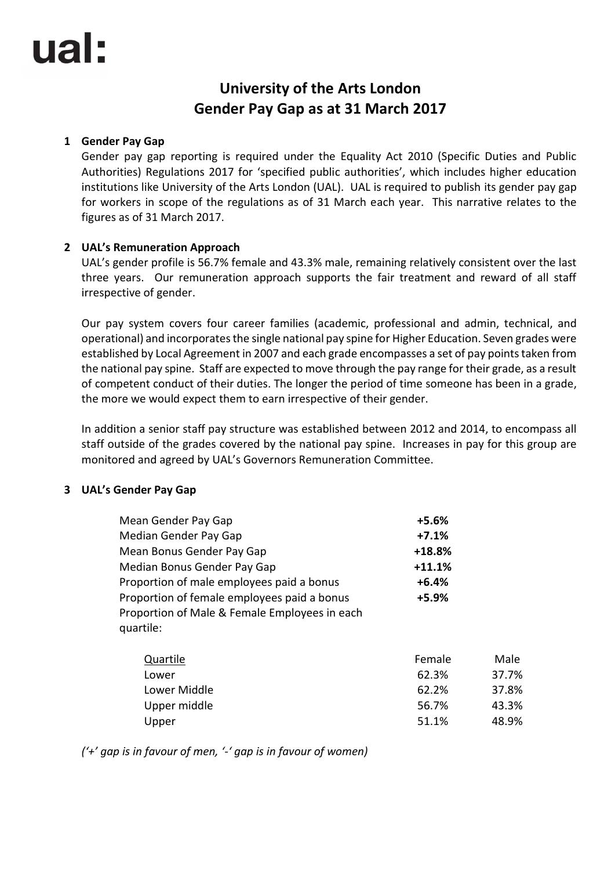# **University of the Arts London Gender Pay Gap as at 31 March 2017**

### **1 Gender Pay Gap**

Gender pay gap reporting is required under the Equality Act 2010 (Specific Duties and Public Authorities) Regulations 2017 for 'specified public authorities', which includes higher education institutions like University of the Arts London (UAL). UAL is required to publish its gender pay gap for workers in scope of the regulations as of 31 March each year. This narrative relates to the figures as of 31 March 2017.

## **2 UAL's Remuneration Approach**

UAL's gender profile is 56.7% female and 43.3% male, remaining relatively consistent over the last three years. Our remuneration approach supports the fair treatment and reward of all staff irrespective of gender.

Our pay system covers four career families (academic, professional and admin, technical, and operational) and incorporates the single national pay spine for Higher Education. Seven grades were established by Local Agreement in 2007 and each grade encompasses a set of pay points taken from the national pay spine. Staff are expected to move through the pay range for their grade, as a result of competent conduct of their duties. The longer the period of time someone has been in a grade, the more we would expect them to earn irrespective of their gender.

In addition a senior staff pay structure was established between 2012 and 2014, to encompass all staff outside of the grades covered by the national pay spine. Increases in pay for this group are monitored and agreed by UAL's Governors Remuneration Committee.

#### **3 UAL's Gender Pay Gap**

| Mean Gender Pay Gap                                        | $+5.6%$  |       |
|------------------------------------------------------------|----------|-------|
| Median Gender Pay Gap                                      | $+7.1%$  |       |
| Mean Bonus Gender Pay Gap                                  | $+18.8%$ |       |
| Median Bonus Gender Pay Gap                                | $+11.1%$ |       |
| Proportion of male employees paid a bonus                  | $+6.4%$  |       |
| Proportion of female employees paid a bonus                | +5.9%    |       |
| Proportion of Male & Female Employees in each<br>quartile: |          |       |
| Quartile                                                   | Female   | Male  |
| Lower                                                      | 62.3%    | 37.7% |
| Lower Middle                                               | 62.2%    | 37.8% |
| Upper middle                                               | 56.7%    | 43.3% |

Upper 31.1% 48.9%

*('+' gap is in favour of men, '-' gap is in favour of women)*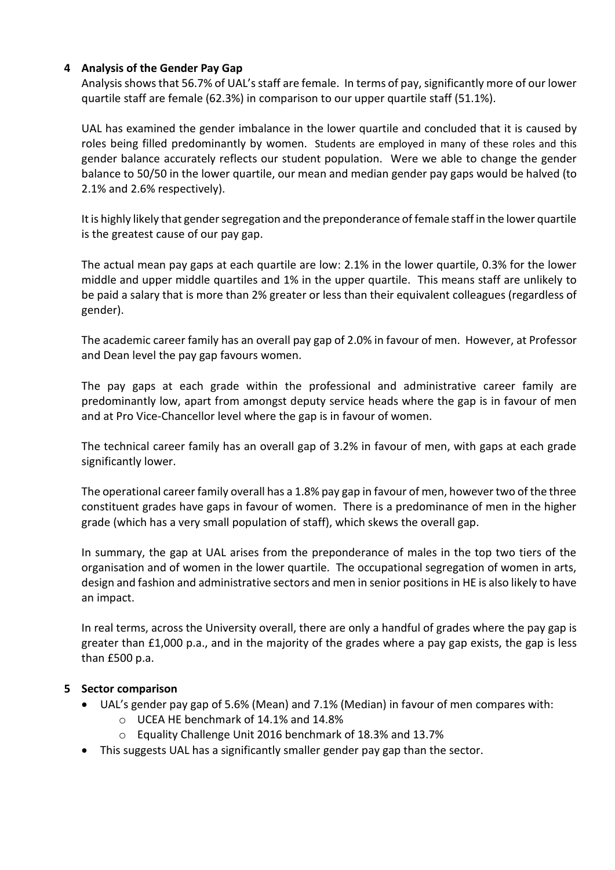### **4 Analysis of the Gender Pay Gap**

Analysis shows that 56.7% of UAL's staff are female. In terms of pay, significantly more of our lower quartile staff are female (62.3%) in comparison to our upper quartile staff (51.1%).

UAL has examined the gender imbalance in the lower quartile and concluded that it is caused by roles being filled predominantly by women. Students are employed in many of these roles and this gender balance accurately reflects our student population. Were we able to change the gender balance to 50/50 in the lower quartile, our mean and median gender pay gaps would be halved (to 2.1% and 2.6% respectively).

It is highly likely that gender segregation and the preponderance of female staff in the lower quartile is the greatest cause of our pay gap.

The actual mean pay gaps at each quartile are low: 2.1% in the lower quartile, 0.3% for the lower middle and upper middle quartiles and 1% in the upper quartile. This means staff are unlikely to be paid a salary that is more than 2% greater or less than their equivalent colleagues (regardless of gender).

The academic career family has an overall pay gap of 2.0% in favour of men. However, at Professor and Dean level the pay gap favours women.

The pay gaps at each grade within the professional and administrative career family are predominantly low, apart from amongst deputy service heads where the gap is in favour of men and at Pro Vice-Chancellor level where the gap is in favour of women.

The technical career family has an overall gap of 3.2% in favour of men, with gaps at each grade significantly lower.

The operational career family overall has a 1.8% pay gap in favour of men, however two of the three constituent grades have gaps in favour of women. There is a predominance of men in the higher grade (which has a very small population of staff), which skews the overall gap.

In summary, the gap at UAL arises from the preponderance of males in the top two tiers of the organisation and of women in the lower quartile. The occupational segregation of women in arts, design and fashion and administrative sectors and men in senior positions in HE is also likely to have an impact.

In real terms, across the University overall, there are only a handful of grades where the pay gap is greater than £1,000 p.a., and in the majority of the grades where a pay gap exists, the gap is less than £500 p.a.

#### **5 Sector comparison**

- UAL's gender pay gap of 5.6% (Mean) and 7.1% (Median) in favour of men compares with:
	- o UCEA HE benchmark of 14.1% and 14.8%
	- o Equality Challenge Unit 2016 benchmark of 18.3% and 13.7%
- This suggests UAL has a significantly smaller gender pay gap than the sector.